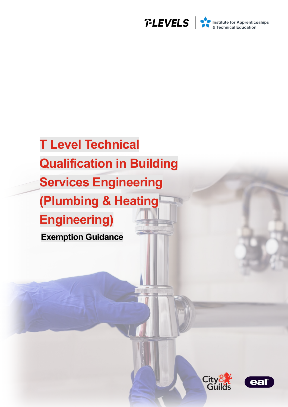

# **T Level Technical Qualification in Building Services Engineering (Plumbing & Heating Engineering) Exemption Guidance**



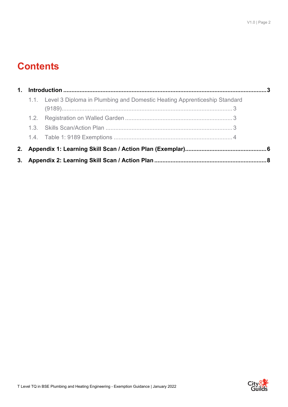# **Contents**

| 1 <sub>1</sub> |                                                                               |  |
|----------------|-------------------------------------------------------------------------------|--|
|                | 1.1. Level 3 Diploma in Plumbing and Domestic Heating Apprenticeship Standard |  |
|                |                                                                               |  |
|                |                                                                               |  |
|                |                                                                               |  |
|                |                                                                               |  |
| 2.             |                                                                               |  |
|                |                                                                               |  |

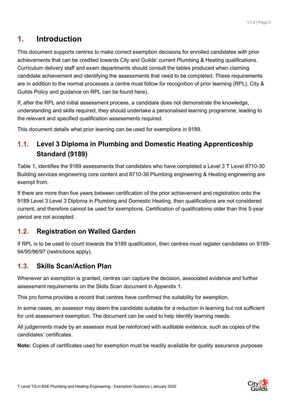## <span id="page-2-0"></span>**1. Introduction**

This document supports centres to make correct exemption decisions for enrolled candidates with prior achievements that can be credited towards City and Guilds' current Plumbing & Heating qualifications. Curriculum delivery staff and exam departments should consult the tables produced when claiming candidate achievement and identifying the assessments that need to be completed. These requirements are in addition to the normal processes a centre must follow for recognition of prior learning (RPL). City & Guilds Policy and guidance on RPL can be found here).

If, after the RPL and initial assessment process, a candidate does not demonstrate the knowledge, understanding and skills required, they should undertake a personalised learning programme, leading to the relevant and specified qualification assessments required.

This document details what prior learning can be used for exemptions in 9189.

### <span id="page-2-1"></span>**1.1. Level 3 Diploma in Plumbing and Domestic Heating Apprenticeship Standard (9189)**

Table 1, identifies the 9189 assessments that candidates who have completed a Level 3 T Level 8710-30 Building services engineering core content and 8710-36 Plumbing engineering & Heating engineering are exempt from.

If there are more than five years between certification of the prior achievement and registration onto the 9189 Level 3 Level 3 Diploma in Plumbing and Domestic Heating, then qualifications are not considered current, and therefore cannot be used for exemptions. Certification of qualifications older than this 5-year period are not accepted.

#### <span id="page-2-2"></span>**1.2. Registration on Walled Garden**

If RPL is to be used to count towards the 9189 qualification, then centres must register candidates on 9189- 94/95/96/97 (restrictions apply).

#### <span id="page-2-3"></span>**1.3. Skills Scan/Action Plan**

Whenever an exemption is granted, centres can capture the decision, associated evidence and further assessment requirements on the Skills Scan document in Appendix 1.

This pro forma provides a record that centres have confirmed the suitability for exemption.

In some cases, an assessor may deem the candidate suitable for a reduction in learning but not sufficient for unit assessment exemption. The document can be used to help identify learning needs.

All judgements made by an assessor must be reinforced with auditable evidence, such as copies of the candidates' certificates.

**Note:** Copies of certificates used for exemption must be readily available for quality assurance purposes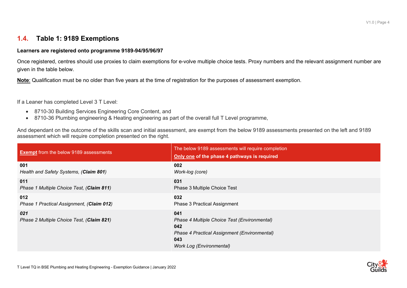#### **1.4. Table 1: 9189 Exemptions**

#### **Learners are registered onto programme 9189-94/95/96/97**

Once registered, centres should use proxies to claim exemptions for e-volve multiple choice tests. Proxy numbers and the relevant assignment number are given in the table below.

**Note**: Qualification must be no older than five years at the time of registration for the purposes of assessment exemption.

If a Leaner has completed Level 3 T Level:

- 8710-30 Building Services Engineering Core Content, and
- 8710-36 Plumbing engineering & Heating engineering as part of the overall full T Level programme,

And dependant on the outcome of the skills scan and initial assessment, are exempt from the below 9189 assessments presented on the left and 9189 assessment which will require completion presented on the right.

<span id="page-3-0"></span>

| <b>Exempt</b> from the below 9189 assessments    | The below 9189 assessments will require completion<br>Only one of the phase 4 pathways is required                                                   |
|--------------------------------------------------|------------------------------------------------------------------------------------------------------------------------------------------------------|
| 001                                              | 002                                                                                                                                                  |
| Health and Safety Systems, (Claim 801)           | Work-log (core)                                                                                                                                      |
| 011                                              | 031                                                                                                                                                  |
| Phase 1 Multiple Choice Test, (Claim 811)        | Phase 3 Multiple Choice Test                                                                                                                         |
| 012                                              | 032                                                                                                                                                  |
| Phase 1 Practical Assignment, (Claim 012)        | Phase 3 Practical Assignment                                                                                                                         |
| 021<br>Phase 2 Multiple Choice Test, (Claim 821) | 041<br>Phase 4 Multiple Choice Test (Environmental)<br>042<br>Phase 4 Practical Assignment (Environmental)<br>043<br><b>Work Log (Environmental)</b> |

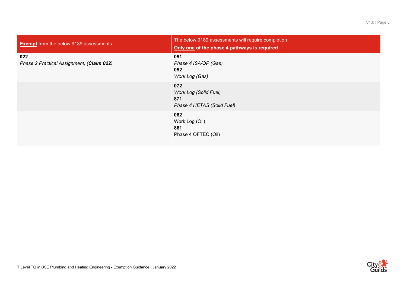| <b>Exempt</b> from the below 9189 assessments    | The below 9189 assessments will require completion<br>Only one of the phase 4 pathways is required |
|--------------------------------------------------|----------------------------------------------------------------------------------------------------|
| 022<br>Phase 2 Practical Assignment, (Claim 022) | 051<br>Phase 4 ISA/QP (Gas)<br>052<br>Work Log (Gas)                                               |
|                                                  | 072<br><b>Work Log (Solid Fuel)</b><br>871<br>Phase 4 HETAS (Solid Fuel)                           |
|                                                  | 062<br>Work Log (Oil)<br>861<br>Phase 4 OFTEC (Oil)                                                |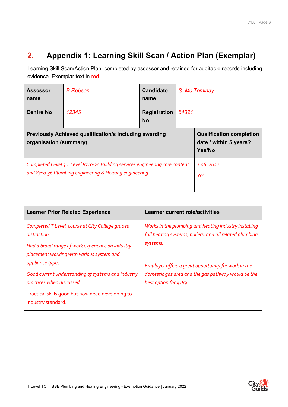# <span id="page-5-0"></span>**2. Appendix 1: Learning Skill Scan / Action Plan (Exemplar)**

Learning Skill Scan/Action Plan: completed by assessor and retained for auditable records including evidence. Exemplar text in red.

| <b>Assessor</b><br>name                                                                                                                | <b>B</b> Robson                                                     | <b>Candidate</b><br>name | S. Mc Tominay |                  |
|----------------------------------------------------------------------------------------------------------------------------------------|---------------------------------------------------------------------|--------------------------|---------------|------------------|
| <b>Centre No</b><br>12345<br>54321<br><b>Registration</b><br><b>No</b>                                                                 |                                                                     |                          |               |                  |
| <b>Previously Achieved qualification/s including awarding</b><br>organisation (summary)                                                | <b>Qualification completion</b><br>date / within 5 years?<br>Yes/No |                          |               |                  |
| Completed Level 3 T Level 8710-30 Building services engineering core content<br>and 8710-36 Plumbing engineering & Heating engineering |                                                                     |                          |               | 1.06.2021<br>Yes |

| <b>Learner Prior Related Experience</b>                                                                                                                          | <b>Learner current role/activities</b>                                                                                            |
|------------------------------------------------------------------------------------------------------------------------------------------------------------------|-----------------------------------------------------------------------------------------------------------------------------------|
| Completed T Level course at City College graded<br>distinction.<br>Had a broad range of work experience on industry<br>placement working with various system and | Works in the plumbing and heating industry installing<br>full heating systems, boilers, and all related plumbing<br>systems.      |
| appliance types.<br>Good current understanding of systems and industry<br>practices when discussed.<br>Practical skills good but now need developing to          | Employer offers a great opportunity for work in the<br>domestic gas area and the gas pathway would be the<br>best option for 9189 |
| industry standard.                                                                                                                                               |                                                                                                                                   |

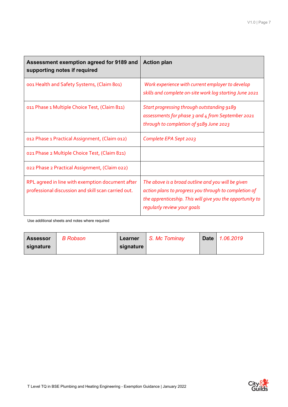| Assessment exemption agreed for 9189 and<br>supporting notes if required                                | <b>Action plan</b>                                                                                                                                                                                      |
|---------------------------------------------------------------------------------------------------------|---------------------------------------------------------------------------------------------------------------------------------------------------------------------------------------------------------|
| 001 Health and Safety Systems, (Claim 801)                                                              | Work experience with current employer to develop<br>skills and complete on-site work log starting June 2021                                                                                             |
| 011 Phase 1 Multiple Choice Test, (Claim 811)                                                           | Start progressing through outstanding 9189<br>assessments for phase 3 and 4 from September 2021<br>through to completion of 9189 June 2023                                                              |
| 012 Phase 1 Practical Assignment, (Claim 012)                                                           | Complete EPA Sept 2023                                                                                                                                                                                  |
| 021 Phase 2 Multiple Choice Test, (Claim 821)                                                           |                                                                                                                                                                                                         |
| 022 Phase 2 Practical Assignment, (Claim 022)                                                           |                                                                                                                                                                                                         |
| RPL agreed in line with exemption document after<br>professional discussion and skill scan carried out. | The above is a broad outline and you will be given<br>action plans to progress you through to completion of<br>the apprenticeship. This will give you the opportunity to<br>regularly review your goals |

Use additional sheets and notes where required

| <b>Assessor</b> | B Robson | Learner   | S. Mc Tominay | Date   1.06.2019 |
|-----------------|----------|-----------|---------------|------------------|
| signature       |          | signature |               |                  |

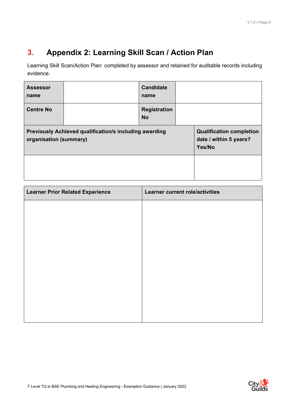# <span id="page-7-0"></span>**3. Appendix 2: Learning Skill Scan / Action Plan**

Learning Skill Scan/Action Plan: completed by assessor and retained for auditable records including evidence.

| <b>Assessor</b><br>name                                                          |                                                                     | <b>Candidate</b><br>name |  |  |
|----------------------------------------------------------------------------------|---------------------------------------------------------------------|--------------------------|--|--|
| <b>Centre No</b><br><b>Registration</b><br><b>No</b>                             |                                                                     |                          |  |  |
| Previously Achieved qualification/s including awarding<br>organisation (summary) | <b>Qualification completion</b><br>date / within 5 years?<br>Yes/No |                          |  |  |
|                                                                                  |                                                                     |                          |  |  |

| <b>Learner Prior Related Experience</b> | Learner current role/activities |
|-----------------------------------------|---------------------------------|
|                                         |                                 |
|                                         |                                 |
|                                         |                                 |
|                                         |                                 |
|                                         |                                 |
|                                         |                                 |
|                                         |                                 |
|                                         |                                 |
|                                         |                                 |

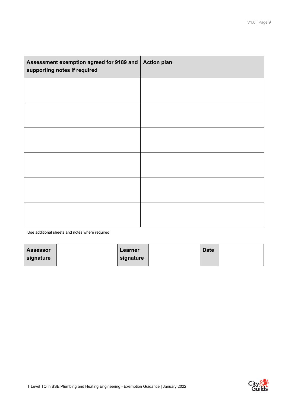| Assessment exemption agreed for 9189 and   Action plan<br>supporting notes if required |  |
|----------------------------------------------------------------------------------------|--|
|                                                                                        |  |
|                                                                                        |  |
|                                                                                        |  |
|                                                                                        |  |
|                                                                                        |  |
|                                                                                        |  |
|                                                                                        |  |

Use additional sheets and notes where required

| <b>Assessor</b> | Learner   | <b>Date</b> |  |
|-----------------|-----------|-------------|--|
| signature       | signature |             |  |